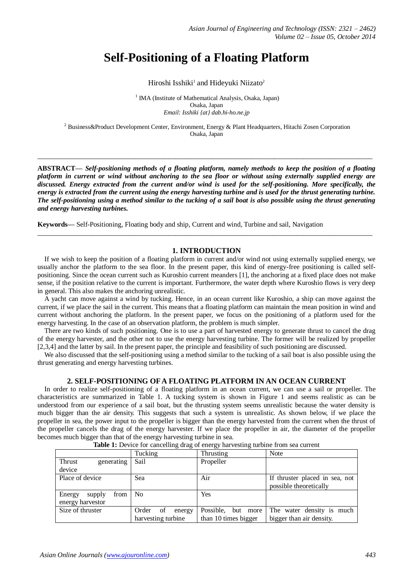# **Self-Positioning of a Floating Platform**

Hiroshi Isshiki<sup>1</sup> and Hideyuki Niizato<sup>2</sup>

<sup>1</sup> IMA (Institute of Mathematical Analysis, Osaka, Japan) Osaka, Japan *Email: Isshiki {at} dab.hi-ho.ne.jp*

<sup>2</sup> Business&Product Development Center, Environment, Energy & Plant Headquarters, Hitachi Zosen Corporation Osaka, Japan

**\_\_\_\_\_\_\_\_\_\_\_\_\_\_\_\_\_\_\_\_\_\_\_\_\_\_\_\_\_\_\_\_\_\_\_\_\_\_\_\_\_\_\_\_\_\_\_\_\_\_\_\_\_\_\_\_\_\_\_\_\_\_\_\_\_\_\_\_\_\_\_\_\_\_\_\_\_\_\_\_\_\_\_\_\_\_\_\_\_\_\_\_**

**ABSTRACT—** *Self-positioning methods of a floating platform, namely methods to keep the position of a floating platform in current or wind without anchoring to the sea floor or without using externally supplied energy are discussed. Energy extracted from the current and/or wind is used for the self-positioning. More specifically, the energy is extracted from the current using the energy harvesting turbine and is used for the thrust generating turbine. The self-positioning using a method similar to the tucking of a sail boat is also possible using the thrust generating and energy harvesting turbines.*

**Keywords—** Self-Positioning, Floating body and ship, Current and wind, Turbine and sail, Navigation

#### **1. INTRODUCTION**

**\_\_\_\_\_\_\_\_\_\_\_\_\_\_\_\_\_\_\_\_\_\_\_\_\_\_\_\_\_\_\_\_\_\_\_\_\_\_\_\_\_\_\_\_\_\_\_\_\_\_\_\_\_\_\_\_\_\_\_\_\_\_\_\_\_\_\_\_\_\_\_\_\_\_\_\_\_\_\_\_\_\_\_\_\_\_\_\_\_\_\_\_**

If we wish to keep the position of a floating platform in current and/or wind not using externally supplied energy, we usually anchor the platform to the sea floor. In the present paper, this kind of energy-free positioning is called selfpositioning. Since the ocean current such as Kuroshio current meanders [1], the anchoring at a fixed place does not make sense, if the position relative to the current is important. Furthermore, the water depth where Kuroshio flows is very deep in general. This also makes the anchoring unrealistic.

A yacht can move against a wind by tucking. Hence, in an ocean current like Kuroshio, a ship can move against the current, if we place the sail in the current. This means that a floating platform can maintain the mean position in wind and current without anchoring the platform. In the present paper, we focus on the positioning of a platform used for the energy harvesting. In the case of an observation platform, the problem is much simpler.

There are two kinds of such positioning. One is to use a part of harvested energy to generate thrust to cancel the drag of the energy harvester, and the other not to use the energy harvesting turbine. The former will be realized by propeller [2,3,4] and the latter by sail. In the present paper, the principle and feasibility of such positioning are discussed.

We also discussed that the self-positioning using a method similar to the tucking of a sail boat is also possible using the thrust generating and energy harvesting turbines.

#### **2. SELF-POSITIONING OF A FLOATING PLATFORM IN AN OCEAN CURRENT**

In order to realize self-positioning of a floating platform in an ocean current, we can use a sail or propeller. The characteristics are summarized in Table 1. A tucking system is shown in Figure 1 and seems realistic as can be understood from our experience of a sail boat, but the thrusting system seems unrealistic because the water density is much bigger than the air density. This suggests that such a system is unrealistic. As shown below, if we place the propeller in sea, the power input to the propeller is bigger than the energy harvested from the current when the thrust of the propeller cancels the drag of the energy harvester. If we place the propeller in air, the diameter of the propeller becomes much bigger than that of the energy harvesting turbine in sea.

| wie in Bettee for emiseining weight energy man teoring coronic from oeu emisein |                                  |                       |                                |  |  |  |
|---------------------------------------------------------------------------------|----------------------------------|-----------------------|--------------------------------|--|--|--|
|                                                                                 | Tucking                          | Thrusting             | <b>Note</b>                    |  |  |  |
| <b>Thrust</b><br>generating                                                     | Sail                             | Propeller             |                                |  |  |  |
| device                                                                          |                                  |                       |                                |  |  |  |
| Place of device                                                                 | Sea                              | Air                   | If thruster placed in sea, not |  |  |  |
|                                                                                 |                                  |                       | possible theoretically         |  |  |  |
| Energy<br>from<br>supply                                                        | N <sub>0</sub>                   | Yes                   |                                |  |  |  |
| energy harvestor                                                                |                                  |                       |                                |  |  |  |
| Size of thruster                                                                | Order<br><sub>of</sub><br>energy | Possible,<br>but more | The water density is much      |  |  |  |
|                                                                                 | harvesting turbine               | than 10 times bigger  | bigger than air density.       |  |  |  |

|  |  | <b>Table 1:</b> Device for cancelling drag of energy harvesting turbine from sea current |
|--|--|------------------------------------------------------------------------------------------|
|  |  |                                                                                          |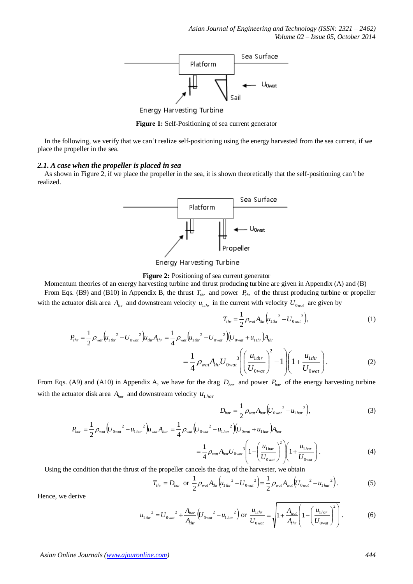

Energy Harvesting Turbine

**Figure 1:** Self-Positioning of sea current generator

In the following, we verify that we can't realize self-positioning using the energy harvested from the sea current, if we place the propeller in the sea.

#### *2.1. A case when the propeller is placed in sea*

As shown in Figure 2, if we place the propeller in the sea, it is shown theoretically that the self-positioning can't be realized.



Energy Harvesting Turbine

**Figure 2:** Positioning of sea current generator

Momentum theories of an energy harvesting turbine and thrust producing turbine are given in Appendix (A) and (B) From Eqs. (B9) and (B10) in Appendix B, the thrust  $T_{thr}$  and power  $P_{thr}$  of the thrust producing turbine or propeller with the actuator disk area  $A_{thr}$  and downstream velocity  $u_{1thr}$  in the current with velocity  $U_{0, wat}$  are given by

$$
T_{thr} = \frac{1}{2} \rho_{\text{wat}} A_{thr} \left( u_{1thr}^2 - U_{0\text{wat}}^2 \right),\tag{1}
$$

$$
P_{thr} = \frac{1}{2} \rho_{wa} \left( u_{1thr}^2 - U_{0wa}^2 \right) u_{thr} A_{thr} = \frac{1}{4} \rho_{wa} \left( u_{1thr}^2 - U_{0wa}^2 \right) \left( U_{0wa} + u_{1thr} \right) A_{thr}
$$
  

$$
= \frac{1}{4} \rho_{wa} A_{thr} U_{0wa} \left( \left( \frac{u_{1thr}}{U_{0wa}} \right)^2 - 1 \right) \left( 1 + \frac{u_{1thr}}{U_{0wa}} \right).
$$
 (2)

From Eqs. (A9) and (A10) in Appendix A, we have for the drag  $D_{har}$  and power  $P_{har}$  of the energy harvesting turbine with the actuator disk area  $A_{har}$  and downstream velocity  $u_{1har}$ 

$$
D_{har} = \frac{1}{2} \rho_{wat} A_{har} \left( U_{0wat}^2 - u_{1 har}^2 \right), \tag{3}
$$

$$
P_{har} = \frac{1}{2} \rho_{wat} \left( U_{0wat}^2 - u_{1har}^2 \right) u_{wat} A_{har} = \frac{1}{4} \rho_{wat} \left( U_{0wat}^2 - u_{1har}^2 \right) \left( U_{0wat} + u_{1har} \right) A_{har}
$$
  

$$
= \frac{1}{4} \rho_{wat} A_{har} U_{0wat}^3 \left( 1 - \left( \frac{u_{1har}}{U_{0wat}} \right)^2 \right) \left( 1 + \frac{u_{1har}}{U_{0wat}} \right).
$$
 (4)

Using the condition that the thrust of the propeller cancels the drag of the harvester, we obtain

$$
T_{thr} = D_{har} \text{ or } \frac{1}{2} \rho_{wat} A_{thr} \left( u_{1thr}{}^2 - U_{0wat}{}^2 \right) = \frac{1}{2} \rho_{wat} A_{wat} \left( U_{0wat}{}^2 - u_{1 har}{}^2 \right). \tag{5}
$$

Hence, we derive

$$
u_{1\,thr}^{2} = U_{0\,wat}^{2} + \frac{A_{har}}{A_{thr}} \left( U_{0\,wat}^{2} - u_{1\,har}^{2} \right) \text{ or } \frac{u_{1\,thr}}{U_{0\,wat}} = \sqrt{1 + \frac{A_{wat}}{A_{thr}} \left( 1 - \left( \frac{u_{1\,har}}{U_{0\,wat}} \right)^{2} \right)}.
$$
 (6)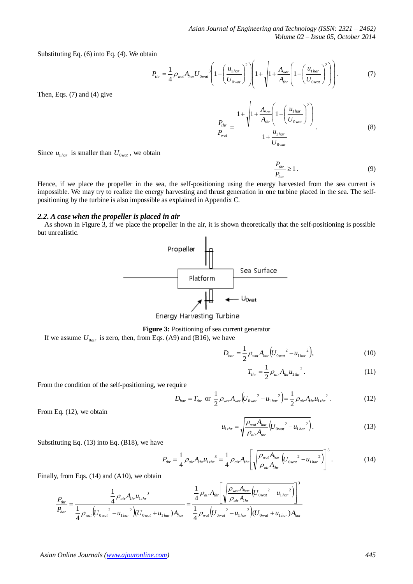Substituting Eq. (6) into Eq. (4). We obtain

$$
P_{thr} = \frac{1}{4} \rho_{wat} A_{har} U_{0wat}^3 \left( 1 - \left( \frac{u_{1 har}}{U_{0wat}} \right)^2 \right) \left( 1 + \sqrt{1 + \frac{A_{wat}}{A_{thr}} \left( 1 - \left( \frac{u_{1 har}}{U_{0wat}} \right)^2 \right)} \right).
$$
 (7)

Then, Eqs. (7) and (4) give

$$
\frac{P_{thr}}{P_{wat}} = \frac{1 + \sqrt{1 + \frac{A_{har}}{A_{thr}} \left(1 - \left(\frac{u_{1 har}}{U_{0wat}}\right)^2\right)}}{1 + \frac{u_{1 har}}{U_{0wat}}}.
$$
\n(8)

Since  $u_{1\text{har}}$  is smaller than  $U_{0\text{wat}}$ , we obtain

 $\frac{I_{thr}}{I_{\infty}} \geq 1$ *har P P* . (9)

Hence, if we place the propeller in the sea, the self-positioning using the energy harvested from the sea current is impossible. We may try to realize the energy harvesting and thrust generation in one turbine placed in the sea. The selfpositioning by the turbine is also impossible as explained in Appendix C.

## *2.2. A case when the propeller is placed in air*

As shown in Figure 3, if we place the propeller in the air, it is shown theoretically that the self-positioning is possible but unrealistic.



Energy Harvesting Turbine

**Figure 3:** Positioning of sea current generator

If we assume  $U_{0air}$  is zero, then, from Eqs. (A9) and (B16), we have

$$
D_{har} = \frac{1}{2} \rho_{\text{war}} A_{har} \left( U_{0 \text{war}}^2 - u_{1 \text{ har}}^2 \right), \tag{10}
$$

$$
T_{thr} = \frac{1}{2} \rho_{air} A_{thr} u_{1thr}^2.
$$
 (11)

From the condition of the self-positioning, we require

$$
D_{har} = T_{thr} \text{ or } \frac{1}{2} \rho_{wat} A_{wat} \left( U_{0wat}^2 - u_{1 har}^2 \right) = \frac{1}{2} \rho_{air} A_{thr} u_{1thr}^2. \tag{12}
$$

From Eq. (12), we obtain

$$
u_{1thr} = \sqrt{\frac{\rho_{wat} A_{har}}{\rho_{air} A_{thr}} \left( U_{0wat}^2 - u_{1 har}^2 \right)}.
$$
 (13)

Substituting Eq. (13) into Eq. (B18), we have

$$
P_{thr} = \frac{1}{4} \rho_{air} A_{thr} u_{1\,thr}^3 = \frac{1}{4} \rho_{air} A_{thr} \left[ \sqrt{\frac{\rho_{wa} A_{har}}{\rho_{air} A_{thr}} (U_{0\,war}}^2 - u_{1\,har}^2)} \right]^3.
$$
 (14)

Finally, from Eqs. (14) and (A10), we obtain

$$
\frac{P_{thr}}{P_{har}} = \frac{\frac{1}{4} \rho_{air} A_{thr} {u_{1thr}}^3}{\frac{1}{4} \rho_{wat} (U_{0wat}^{2} - u_{1 har}^{2}) (U_{0wat} + u_{1 har}) A_{har}} = \frac{\frac{1}{4} \rho_{air} A_{thr} \left[ \sqrt{\frac{\rho_{wat} A_{har}}{\rho_{air} A_{thr}} (U_{0wat}^{2} - u_{1 har}^{2})} \right]^{3}}{\frac{1}{4} \rho_{wat} (U_{0wat}^{2} - u_{1 har}^{2}) (U_{0wat} + u_{1 har}) A_{har}}
$$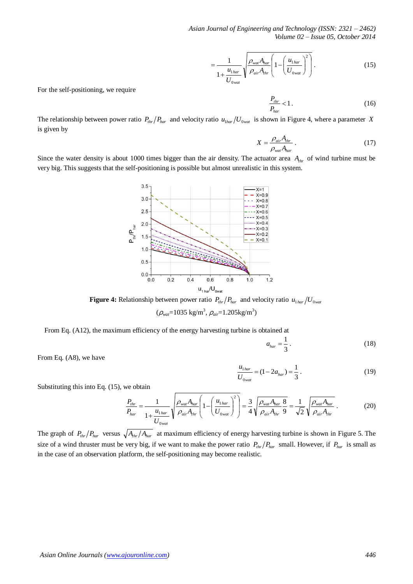*Asian Journal of Engineering and Technology (ISSN: 2321 – 2462) Volume 02 – Issue 05, October 2014*

$$
=\frac{1}{1+\frac{u_{1\,har}}{U_{0\,war}}}\sqrt{\frac{\rho_{\text{war}}A_{\text{har}}}{\rho_{\text{air}}A_{\text{thr}}}}\left(1-\left(\frac{u_{1\,har}}{U_{0\,war}}\right)^2\right)}.
$$
(15)

For the self-positioning, we require

 $\frac{1}{2}$  thr < 1 *har thr P P*  $(16)$ 

The relationship between power ratio  $P_{thr}/P_{har}$  and velocity ratio  $u_{1har}/U_{0wat}$  is shown in Figure 4, where a parameter X is given by

$$
X = \frac{\rho_{air} A_{thr}}{\rho_{wat} A_{har}}.
$$
 (17)

Since the water density is about 1000 times bigger than the air density. The actuator area *Athr* of wind turbine must be very big. This suggests that the self-positioning is possible but almost unrealistic in this system.



**Figure 4:** Relationship between power ratio  $P_{thr}/P_{har}$  and velocity ratio  $u_{1 har}/U_{0wan}$ 

(ρ*wat*=1035 kg/m<sup>3</sup> , ρ*air*=1.205kg/m<sup>3</sup> )

From Eq. (A12), the maximum efficiency of the energy harvesting turbine is obtained at

3  $a_{har} = \frac{1}{2}$  (18)

From Eq. (A8), we have

$$
\frac{u_{1\,har}}{U_{0\,war}} = (1 - 2a_{har}) = \frac{1}{3} \,. \tag{19}
$$

Substituting this into Eq. (15), we obtain

$$
\frac{P_{thr}}{P_{har}} = \frac{1}{1 + \frac{u_{1\,har}}{U_{0\,war}}} \sqrt{\frac{\rho_{\text{wat}} A_{har}}{\rho_{air} A_{thr}}} \left( 1 - \left( \frac{u_{1\,har}}{U_{0\,war}} \right)^2 \right) = \frac{3}{4} \sqrt{\frac{\rho_{\text{wat}} A_{har}}{\rho_{air} A_{thr}}} \frac{8}{9} = \frac{1}{\sqrt{2}} \sqrt{\frac{\rho_{\text{wat}} A_{har}}{\rho_{air} A_{thr}}} \,. \tag{20}
$$

The graph of  $P_{thr}/P_{har}$  versus  $\sqrt{A_{thr}/A_{har}}$  at maximum efficiency of energy harvesting turbine is shown in Figure 5. The size of a wind thruster must be very big, if we want to make the power ratio  $P_{thr}/P_{har}$  small. However, if  $P_{har}$  is small as in the case of an observation platform, the self-positioning may become realistic.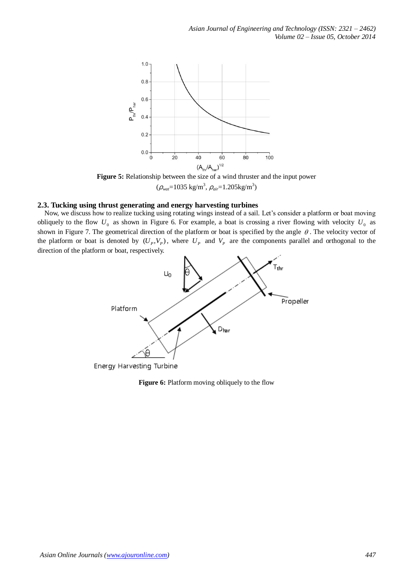

**Figure 5:** Relationship between the size of a wind thruster and the input power (ρ*wat*=1035 kg/m<sup>3</sup> , ρ*air*=1.205kg/m<sup>3</sup> )

## **2.3. Tucking using thrust generating and energy harvesting turbines**

Now, we discuss how to realize tucking using rotating wings instead of a sail. Let's consider a platform or boat moving obliquely to the flow  $U_0$  as shown in Figure 6. For example, a boat is crossing a river flowing with velocity  $U_0$  as shown in Figure 7. The geometrical direction of the platform or boat is specified by the angle  $\theta$ . The velocity vector of the platform or boat is denoted by  $(U_p, V_p)$ , where  $U_p$  and  $V_p$  are the components parallel and orthogonal to the direction of the platform or boat, respectively.



**Figure 6:** Platform moving obliquely to the flow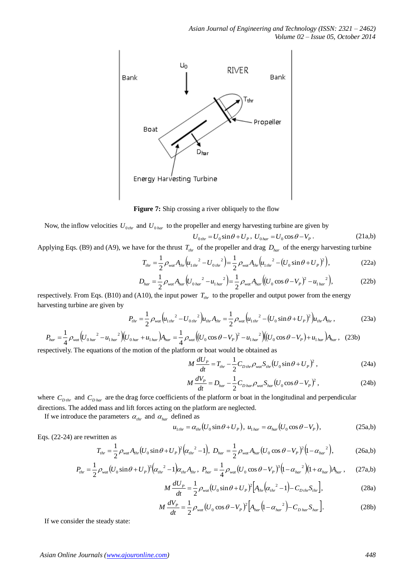

**Figure 7:** Ship crossing a river obliquely to the flow

Now, the inflow velocities  $U_{0_{thr}}$  and  $U_{0_{har}}$  to the propeller and energy harvesting turbine are given by

$$
U_{0\,thr} = U_0 \sin\theta + U_P, \ U_{0\,har} = U_0 \cos\theta - V_P. \tag{21a,b}
$$

Applying Eqs. (B9) and (A9), we have for the thrust  $T_{thr}$  of the propeller and drag  $D_{har}$  of the energy harvesting turbine

$$
T_{thr} = \frac{1}{2} \rho_{wa} A_{thr} \left( u_{1\,thr}^2 - U_{0\,thr}^2 \right) = \frac{1}{2} \rho_{wa} A_{thr} \left( u_{1\,thr}^2 - \left( U_0 \sin \theta + U_P \right)^2 \right),\tag{22a}
$$

$$
D_{har} = \frac{1}{2} \rho_{\text{war}} A_{har} \left( U_{0 \text{ har}}^2 - u_{1 \text{ har}}^2 \right) = \frac{1}{2} \rho_{\text{war}} A_{har} \left( (U_0 \cos \theta - V_p)^2 - u_{1 \text{ har}}^2 \right),\tag{22b}
$$

respectively. From Eqs. (B10) and (A10), the input power  $T_{thr}$  to the propeller and output power from the energy harvesting turbine are given by

$$
P_{thr} = \frac{1}{2} \rho_{wat} \left( u_{1\,thr}^2 - U_{0\,thr}^2 \right) u_{thr} A_{thr} = \frac{1}{2} \rho_{wat} \left( u_{1\,thr}^2 - \left( U_0 \sin \theta + U_P \right)^2 \right) u_{thr} A_{thr} \,, \tag{23a}
$$

$$
P_{har} = \frac{1}{4} \rho_{wat} \left( U_{0 har}^2 - u_{1har}^2 \right) \left( U_{0har} + u_{1har} \right) A_{har} = \frac{1}{4} \rho_{wat} \left( \left( U_0 \cos \theta - V_p \right)^2 - u_{1har}^2 \right) \left( \left( U_0 \cos \theta - V_p \right) + u_{1har} \right) A_{har}, \quad (23b)
$$

respectively. The equations of the motion of the platform or boat would be obtained as

$$
M\frac{dU_{P}}{dt} = T_{thr} - \frac{1}{2}C_{D\,thr}\rho_{\text{wat}}S_{thr}(U_0\sin\theta + U_P)^2\,,\tag{24a}
$$

$$
M\frac{dV_P}{dt} = D_{har} - \frac{1}{2}C_{D\,har}\rho_{\text{war}}S_{har}\left(U_0\cos\theta - V_P\right)^2,\tag{24b}
$$

where  $C_{D_{thr}}$  and  $C_{D_{har}}$  are the drag force coefficients of the platform or boat in the longitudinal and perpendicular directions. The added mass and lift forces acting on the platform are neglected.

If we introduce the parameters  $\alpha_{thr}$  and  $\alpha_{har}$  defined as

$$
u_{1thr} = \alpha_{thr} (U_0 \sin \theta + U_P), \ u_{1har} = \alpha_{har} (U_0 \cos \theta - V_P), \qquad (25a,b)
$$

Eqs. (22-24) are rewritten as

$$
T_{thr} = \frac{1}{2} \rho_{wat} A_{thr} (U_0 \sin \theta + U_P)^2 (\alpha_{thr}^2 - 1), \ D_{har} = \frac{1}{2} \rho_{wat} A_{har} (U_0 \cos \theta - V_P)^2 (1 - \alpha_{har}^2), \tag{26a,b}
$$

$$
P_{thr} = \frac{1}{2} \rho_{wat} (U_0 \sin \theta + U_P)^3 (\alpha_{thr}^2 - 1) \alpha_{thr} A_{thr}, \ P_{har} = \frac{1}{4} \rho_{wat} (U_0 \cos \theta - V_P)^3 (1 - \alpha_{har})^2 (1 + \alpha_{har}) A_{har}, \tag{27a,b}
$$

$$
M\frac{dU_p}{dt} = \frac{1}{2}\rho_{\text{war}}(U_0\sin\theta + U_p)^2 \Big[A_{\text{thr}}(\alpha_{\text{thr}}^2 - 1) - C_{\text{Dthr}}S_{\text{thr}}\Big],\tag{28a}
$$

$$
M\frac{dV_P}{dt} = \frac{1}{2}\rho_{\text{wat}}(U_0 \cos \theta - V_P)^2 \Big[A_{\text{har}}(1 - \alpha_{\text{har}}^2) - C_{\text{D har}} S_{\text{har}}\Big].
$$
 (28b)

If we consider the steady state: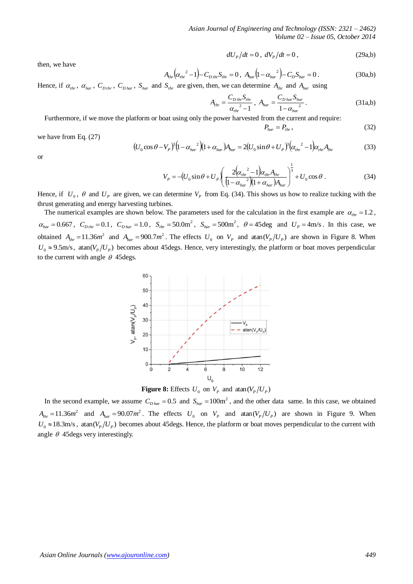$$
dU_p/dt = 0, \ dV_p/dt = 0, \qquad (29a,b)
$$

then, we have

$$
A_{thr} \left( \alpha_{thr}^2 - 1 \right) - C_{D\,thr} S_{thr} = 0 \,, \ A_{har} \left( 1 - \alpha_{har}^2 \right) - C_D S_{har} = 0 \,. \tag{30a,b}
$$

 $P_{\text{har}} = P_{\text{thr}}$ 

Hence, if  $\alpha_{thr}$ ,  $\alpha_{har}$ ,  $C_{Dthr}$ ,  $C_{Dhar}$ ,  $S_{har}$  and  $S_{thr}$  are given, then, we can determine  $A_{thr}$  and  $A_{har}$  using

$$
A_{thr} = \frac{C_{D\,thr} S_{thr}}{\alpha_{thr}^2 - 1}, \ A_{har} = \frac{C_{D\,har} S_{har}}{1 - \alpha_{har}^2}.
$$
 (31a,b)

Furthermore, if we move the platform or boat using only the power harvested from the current and require:

$$
,\t(32)
$$

we have from Eq. (27)

$$
(U_0 \cos \theta - V_P)^3 (1 - \alpha_{har}^2)(1 + \alpha_{har}) A_{har} = 2(U_0 \sin \theta + U_P)^3 (\alpha_{thr}^2 - 1) \alpha_{thr} A_{thr}
$$
(33)

or

$$
V_P = -(U_0 \sin \theta + U_P) \left( \frac{2(\alpha_{thr}^2 - 1)\alpha_{thr} A_{thr}}{(1 - \alpha_{har})^2 (1 + \alpha_{har}) A_{har}} \right)^{\frac{1}{3}} + U_0 \cos \theta \,. \tag{34}
$$

Hence, if  $U_0$ ,  $\theta$  and  $U_p$  are given, we can determine  $V_p$  from Eq. (34). This shows us how to realize tucking with the thrust generating and energy harvesting turbines.

The numerical examples are shown below. The parameters used for the calculation in the first example are  $\alpha_{thr} = 1.2$ ,  $\alpha_{\text{har}} = 0.667$ ,  $C_{\text{D}thr} = 0.1$ ,  $C_{\text{D}har} = 1.0$ ,  $S_{\text{thr}} = 50.0 \text{m}^2$ ,  $S_{\text{har}} = 500 \text{m}^2$ ,  $\theta = 45 \text{deg}$  and  $U_p = 4 \text{m/s}$ . In this case, we obtained  $A_{thr} = 11.36m^2$  and  $A_{har} = 900.7m^2$ . The effects  $U_0$  on  $V_p$  and atan( $V_p/U_p$ ) are shown in Figure 8. When  $U_0 \approx 9.5$ m/s, atan( $V_P / U_P$ ) becomes about 45 degs. Hence, very interestingly, the platform or boat moves perpendicular to the current with angle  $\theta$  45 degs.



**Figure 8:** Effects  $U_0$  on  $V_p$  and  $\text{atan}(V_p/U_p)$ 

In the second example, we assume  $C_{D\text{ har}} = 0.5$  and  $S_{\text{har}} = 100\text{m}^2$ , and the other data same. In this case, we obtained  $A_{thr} = 11.36m^2$  and  $A_{har} = 90.07m^2$ . The effects  $U_0$  on  $V_p$  and atan( $V_p/U_p$ ) are shown in Figure 9. When  $U_0 \approx 18.3$ m/s, atan( $V_p/U_p$ ) becomes about 45degs. Hence, the platform or boat moves perpendicular to the current with angle  $\theta$  45 degs very interestingly.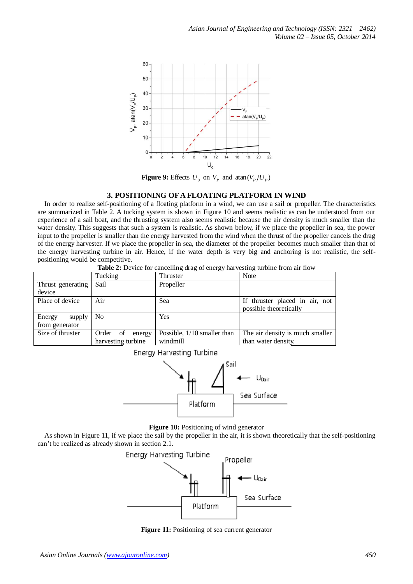

**Figure 9:** Effects  $U_0$  on  $V_p$  and  $\text{atan}(V_p/U_p)$ 

## **3. POSITIONING OFA FLOATING PLATFORM IN WIND**

In order to realize self-positioning of a floating platform in a wind, we can use a sail or propeller. The characteristics are summarized in Table 2. A tucking system is shown in Figure 10 and seems realistic as can be understood from our experience of a sail boat, and the thrusting system also seems realistic because the air density is much smaller than the water density. This suggests that such a system is realistic. As shown below, if we place the propeller in sea, the power input to the propeller is smaller than the energy harvested from the wind when the thrust of the propeller cancels the drag of the energy harvester. If we place the propeller in sea, the diameter of the propeller becomes much smaller than that of the energy harvesting turbine in air. Hence, if the water depth is very big and anchoring is not realistic, the selfpositioning would be competitive.

|                                  | Tucking            | Thruster                    | Note                            |  |  |
|----------------------------------|--------------------|-----------------------------|---------------------------------|--|--|
| Thrust generating                | Sail               | Propeller                   |                                 |  |  |
| device                           |                    |                             |                                 |  |  |
| Place of device                  | Air                | Sea                         | If thruster placed in air, not  |  |  |
|                                  |                    |                             | possible theoretically          |  |  |
| Energy<br>supply                 | N <sub>0</sub>     | Yes                         |                                 |  |  |
| from generator                   |                    |                             |                                 |  |  |
| Size of thruster                 | Order of<br>energy | Possible, 1/10 smaller than | The air density is much smaller |  |  |
|                                  | harvesting turbine | windmill                    | than water density.             |  |  |
| <b>Energy Harvesting Turbine</b> |                    |                             |                                 |  |  |

**Table 2:** Device for cancelling drag of energy harvesting turbine from air flow





#### **Figure 10:** Positioning of wind generator

As shown in Figure 11, if we place the sail by the propeller in the air, it is shown theoretically that the self-positioning can't be realized as already shown in section 2.1.



**Figure 11:** Positioning of sea current generator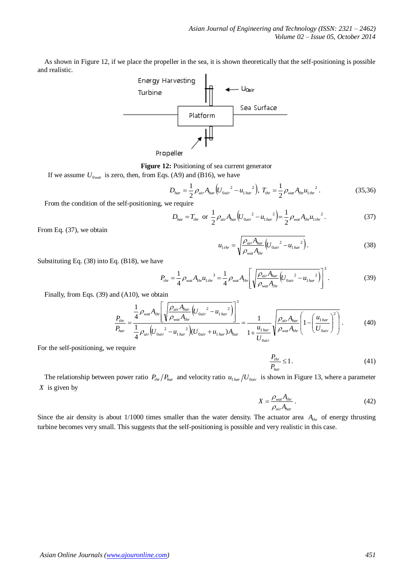As shown in Figure 12, if we place the propeller in the sea, it is shown theoretically that the self-positioning is possible and realistic.



**Figure 12:** Positioning of sea current generator

If we assume  $U_{0, wat}$  is zero, then, from Eqs. (A9) and (B16), we have

$$
D_{har} = \frac{1}{2} \rho_{air} A_{har} \left( U_{0air}^{2} - u_{1 har}^{2} \right), T_{thr} = \frac{1}{2} \rho_{wal} A_{thr} u_{1thr}^{2}. \qquad (35,36)
$$

From the condition of the self-positioning, we require

$$
D_{har} = T_{thr} \text{ or } \frac{1}{2} \rho_{air} A_{har} \left( U_{0air}^{2} - u_{1 har}^{2} \right) = \frac{1}{2} \rho_{wat} A_{thr} u_{1thr}^{2}. \qquad (37)
$$

From Eq. (37), we obtain

$$
u_{1thr} = \sqrt{\frac{\rho_{air} A_{har}}{\rho_{wat} A_{thr}} \left( U_{0air}^2 - u_{1har}^2 \right)}.
$$
 (38)

Substituting Eq. (38) into Eq. (B18), we have

$$
P_{thr} = \frac{1}{4} \rho_{\text{wat}} A_{thr} u_{1\text{thr}}^3 = \frac{1}{4} \rho_{\text{wat}} A_{thr} \left[ \sqrt{\frac{\rho_{air} A_{har}}{\rho_{\text{wat}} A_{thr}} \left( U_{0\text{air}}^2 - u_{1\text{har}}^2 \right)} \right]^3.
$$
 (39)

Finally, from Eqs. (39) and (A10), we obtain

$$
\frac{P_{thr}}{P_{har}} = \frac{\frac{1}{4} \rho_{wat} A_{thr} \left[ \sqrt{\frac{\rho_{air} A_{har}}{\rho_{wat} A_{thr}} (U_{0air}^2 - u_{1 har}^2)} \right]^3}{\frac{1}{4} \rho_{air} (U_{0air}^2 - u_{1 har}^2) (U_{0air} + u_{1 har}) A_{har}} = \frac{1}{1 + \frac{u_{1 har}}{U_{0air}}} \sqrt{\frac{\rho_{air} A_{har}}{\rho_{wat} A_{thr}} \left( 1 - \left( \frac{u_{1 har}}{U_{0air}} \right)^2 \right)}.
$$
(40)

For the self-positioning, we require

$$
\frac{P_{thr}}{P_{har}} \le 1.
$$
\n(41)

The relationship between power ratio  $P_{thr}/P_{har}$  and velocity ratio  $u_{1 har}/U_{0air}$  is shown in Figure 13, where a parameter *X* is given by

$$
X = \frac{\rho_{\text{wat}} A_{\text{thr}}}{\rho_{\text{air}} A_{\text{har}}}
$$
 (42)

Since the air density is about  $1/1000$  times smaller than the water density. The actuator area  $A_{thr}$  of energy thrusting turbine becomes very small. This suggests that the self-positioning is possible and very realistic in this case.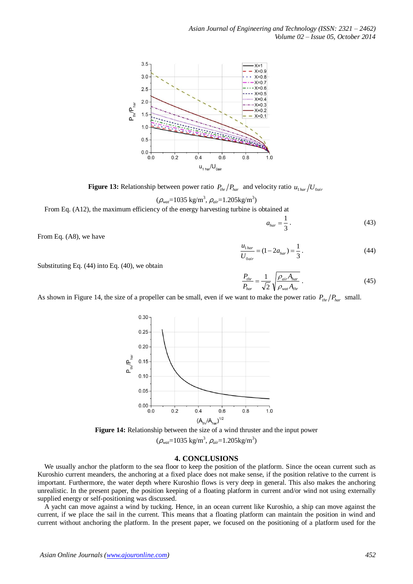

**Figure 13:** Relationship between power ratio  $P_{thr}/P_{har}$  and velocity ratio  $u_{1 har}/U_{0air}$ 

$$
(\rho_{\text{wat}}=1035 \text{ kg/m}^3, \rho_{\text{air}}=1.205 \text{kg/m}^3)
$$

From Eq. (A12), the maximum efficiency of the energy harvesting turbine is obtained at

3  $a_{har} = \frac{1}{2}$  (43)

From Eq. (A8), we have

Substituting Eq. (44) into Eq. (40), we obtain

$$
\frac{u_{1\,har}}{U_{0\,air}} = (1 - 2a_{har}) = \frac{1}{3} \,. \tag{44}
$$

*air har thr A A P*  $\rho$  $=\frac{1}{\sqrt{2}}\int \frac{\rho_{air}A_{har}}{a}$  (45)

*wat thr*

 $\rho$ 

2

*har*

*P*

As shown in Figure 14, the size of a propeller can be small, even if we want to make the power ratio  $P_{thr}/P_{har}$  small.



**Figure 14:** Relationship between the size of a wind thruster and the input power

$$
(\rho_{\text{wat}}=1035 \text{ kg/m}^3, \rho_{\text{air}}=1.205 \text{kg/m}^3)
$$

## **4. CONCLUSIONS**

We usually anchor the platform to the sea floor to keep the position of the platform. Since the ocean current such as Kuroshio current meanders, the anchoring at a fixed place does not make sense, if the position relative to the current is important. Furthermore, the water depth where Kuroshio flows is very deep in general. This also makes the anchoring unrealistic. In the present paper, the position keeping of a floating platform in current and/or wind not using externally supplied energy or self-positioning was discussed.

A yacht can move against a wind by tucking. Hence, in an ocean current like Kuroshio, a ship can move against the current, if we place the sail in the current. This means that a floating platform can maintain the position in wind and current without anchoring the platform. In the present paper, we focused on the positioning of a platform used for the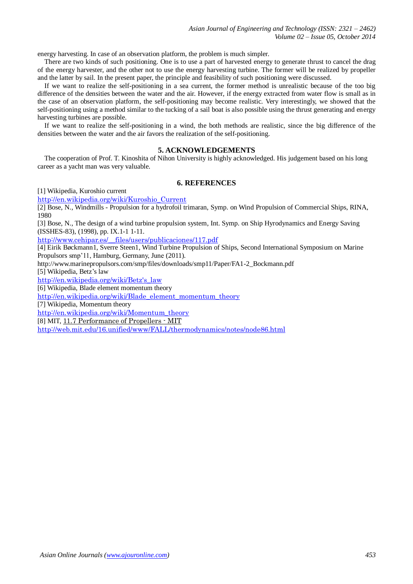energy harvesting. In case of an observation platform, the problem is much simpler.

There are two kinds of such positioning. One is to use a part of harvested energy to generate thrust to cancel the drag of the energy harvester, and the other not to use the energy harvesting turbine. The former will be realized by propeller and the latter by sail. In the present paper, the principle and feasibility of such positioning were discussed.

If we want to realize the self-positioning in a sea current, the former method is unrealistic because of the too big difference of the densities between the water and the air. However, if the energy extracted from water flow is small as in the case of an observation platform, the self-positioning may become realistic. Very interestingly, we showed that the self-positioning using a method similar to the tucking of a sail boat is also possible using the thrust generating and energy harvesting turbines are possible.

If we want to realize the self-positioning in a wind, the both methods are realistic, since the big difference of the densities between the water and the air favors the realization of the self-positioning.

## **5. ACKNOWLEDGEMENTS**

The cooperation of Prof. T. Kinoshita of Nihon University is highly acknowledged. His judgement based on his long career as a yacht man was very valuable.

## **6. REFERENCES**

[1] Wikipedia, Kuroshio current

[http://en.wikipedia.org/wiki/Kuroshio\\_Current](http://en.wikipedia.org/wiki/Kuroshio_Current)

[2] Bose, N., Windmills - Propulsion for a hydrofoil trimaran, Symp. on Wind Propulsion of Commercial Ships, RINA, 1980

[3] Bose, N., The design of a wind turbine propulsion system, Int. Symp. on Ship Hyrodynamics and Energy Saving (ISSHES-83), (1998), pp. IX.1-1 1-11.

[http://www.cehipar.es/\\_\\_files/users/publicaciones/117.pdf](http://www.cehipar.es/__files/users/publicaciones/117.pdf)

[4] Eirik Bøckmann1, Sverre Steen1, Wind Turbine Propulsion of Ships, Second International Symposium on Marine Propulsors smp'11, Hamburg, Germany, June (2011).

http://www.marinepropulsors.com/smp/files/downloads/smp11/Paper/FA1-2\_Bockmann.pdf

[5] Wikipedia, Betz's law

[http://en.wikipedia.org/wiki/Betz's\\_law](http://en.wikipedia.org/wiki/Betz)

[6] Wikipedia, Blade element momentum theory

[http://en.wikipedia.org/wiki/Blade\\_element\\_momentum\\_theory](http://en.wikipedia.org/wiki/Blade_element_momentum_theory)

[7] Wikipedia, Momentum theory

[http://en.wikipedia.org/wiki/Momentum\\_theory](http://en.wikipedia.org/wiki/Momentum_theory)

[8] MIT, [11.7 Performance of Propellers](http://www.amazon.co.jp/gp/bit/apps/web/SERP/redirect/ref=bit_bds-p07_serp_ie_jp?ie=UTF8&id=1&pos=2&t=IUU7JTzC%2BHK%2BCBSzYB1JLlQtoA0ehW4NmnrRdSgs2NY&tagbase=bds-p07&tbrId=v1_abb-channel-7_c4e800c8c7974ae6985b8702e1129d24_30_46_20130719_JP_ie_sp_&url=http%3A%2F%2Fweb.mit.edu%2F16.unified%2Fwww%2FFALL%2Fthermodynamics%2Fnotes%2Fnode86.html) - MIT

<http://web.mit.edu/16.unified/www/FALL/thermodynamics/notes/node86.html>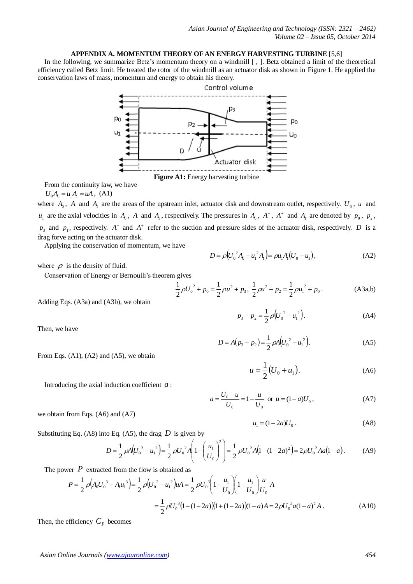## **APPENDIX A. MOMENTUM THEORY OF AN ENERGY HARVESTING TURBINE** [5,6]

In the following, we summarize Betz's momentum theory on a windmill  $\lceil$ ,  $\rceil$ . Betz obtained a limit of the theoretical efficiency called Betz limit. He treated the rotor of the windmill as an actuator disk as shown in Figure 1. He applied the conservation laws of mass, momentum and energy to obtain his theory.



From the continuity law, we have

 $U_0A_0 = u_1A_1 = uA$ , (A1)

where  $A_0$ ,  $A$  and  $A_1$  are the areas of the upstream inlet, actuator disk and downstream outlet, respectively.  $U_0$ ,  $u$  and  $u_1$  are the axial velocities in  $A_0$ ,  $A$  and  $A_1$ , respectively. The pressures in  $A_0$ ,  $A^-$ ,  $A^+$  and  $A_1$  are denoted by  $p_0$ ,  $p_2$ ,  $p_3$  and  $p_1$ , respectively. A<sup>-</sup> and A<sup>+</sup> refer to the suction and pressure sides of the actuator disk, respectively. D is a drag forve acting on the actuator disk.

Applying the conservation of momentum, we have

where  $\rho$  is the density of fluid.

Conservation of Energy or Bernoulli's theorem gives

$$
\frac{1}{2}\rho U_0^2 + p_0 = \frac{1}{2}\rho u^2 + p_3, \ \frac{1}{2}\rho u^2 + p_2 = \frac{1}{2}\rho u_1^2 + p_0.
$$
 (A3a,b)

 $p_3 - p_2 = \frac{1}{2} \rho (U_0^2 - u_1^2).$ 

 $D = \rho \left( U_0^2 A_0 - u_1^2 A_1 \right) = \rho u_1 A_1 \left( U_0 - u_1 \right),$  (A2)

Adding Eqs. (A3a) and (A3b), we obtain

Then, we have

$$
D = A(p_3 - p_2) = \frac{1}{2} \rho A \Big( U_0^2 - u_1^2 \Big). \tag{A5}
$$

 $p_3 - p_2 = \frac{1}{2} \rho (U_0^2 - u_1^2).$  (A4)

From Eqs. (A1), (A2) and (A5), we obtain

we obtain from Eqs. (A6) and (A7)

$$
u = \frac{1}{2} (U_0 + u_1).
$$
 (A6)

Introducing the axial induction coefficient  $a$ :

$$
a = \frac{U_0 - u}{U_0} = 1 - \frac{u}{U_0} \text{ or } u = (1 - a)U_0,
$$
 (A7)

$$
u_1 = (1 - 2a)U_0.
$$
 (A8)

Substituting Eq. (A8) into Eq. (A5), the drag  $D$  is given by

$$
D = \frac{1}{2}\rho A \left(U_0^2 - u_1^2\right) = \frac{1}{2}\rho U_0^2 A \left(1 - \left(\frac{u_1}{U_0}\right)^2\right) = \frac{1}{2}\rho U_0^2 A \left(1 - (1 - 2a)^2\right) = 2\rho U_0^2 A a \left(1 - a\right).
$$
 (A9)

The power  $P$  extracted from the flow is obtained as

$$
P = \frac{1}{2} \rho \Big( A_0 U_0^3 - A_1 u_1^3 \Big) = \frac{1}{2} \rho \Big( U_0^2 - u_1^2 \Big) uA = \frac{1}{2} \rho U_0^3 \Big( 1 - \frac{u_1}{U_0} \Big) \Big( 1 + \frac{u_1}{U_0} \Big) \frac{u}{U_0} A
$$
  

$$
= \frac{1}{2} \rho U_0^3 \Big( 1 - (1 - 2a) \Big) \Big( 1 + (1 - 2a) \Big) (1 - a) A = 2 \rho U_0^3 a (1 - a)^2 A.
$$
 (A10)

Then, the efficiency  $C_p$  becomes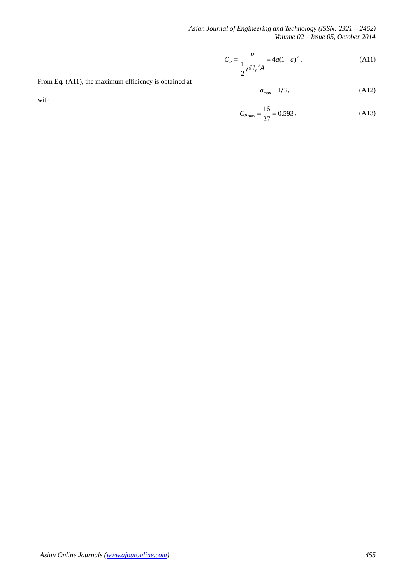*Asian Journal of Engineering and Technology (ISSN: 2321 – 2462) Volume 02 – Issue 05, October 2014*

$$
C_P = \frac{P}{\frac{1}{2}\rho U_0^3 A} = 4a(1-a)^2.
$$
 (A11)

From Eq. (A11), the maximum efficiency is obtained at

with

$$
a_{\text{max}} = 1/3, \tag{A12}
$$

$$
C_{P\text{max}} = \frac{16}{27} = 0.593\,. \tag{A13}
$$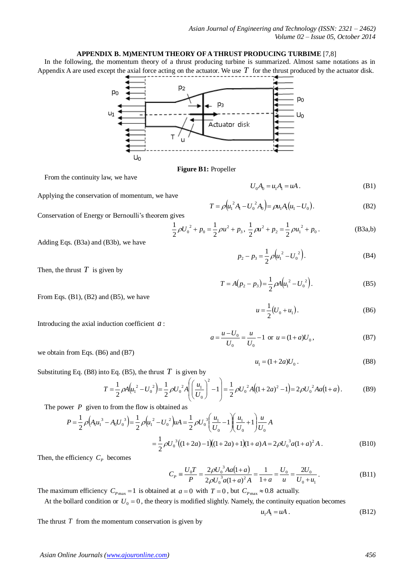## **APPENDIX B. M)MENTUM THEORY OF A THRUST PRODUCING TURBIME** [7,8]

In the following, the momentum theory of a thrust producing turbine is summarized. Almost same notations as in Appendix A are used except the axial force acting on the actuator. We use  $T$  for the thrust produced by the actuator disk.



**Figure B1:** Propeller

2 1

From the continuity law, we have

Applying the conservation of momentum, we have

Conservation of Energy or Bernoulli's theorem gives

$$
\rho {U_0}^2 + p_0 = \frac{1}{2}\rho u^2 + p_3, \ \frac{1}{2}\rho u^2 + p_2 = \frac{1}{2}\rho {u_1}^2 + p_0.
$$
 (B3a,b)

 $p_2 - p_3 = \frac{1}{2} \rho \left( u_1^2 - U_0^2 \right)$ 

 $T = A(p_2 - p_3) = \frac{1}{2} \rho A (u_1^2 - U_0^2)$ 

 $u = \frac{1}{2}(U_0 + u_1)$ 

 $T = \rho \left( u_1^2 A_1 - U_0^2 A_0 \right) = \rho u_1 A_1 (u_1 - U_0).$  (B2)

 $U_0 A_0 = u_1 A_1 = uA$ . (B1)

 $p_2 - p_3 = \frac{1}{2} \rho \left( u_1^2 - U_0^2 \right).$  (B4)

 $u = \frac{1}{2}(U_0 + u_1).$  (B6)

 $u_1 = (1 + 2a)U_0$ . (B8)

 $T = A(p_2 - p_3) = \frac{1}{2} \rho A(u_1^2 - U_0^2)$ . (B5)

Adding Eqs. (B3a) and (B3b), we have

Then, the thrust  $T$  is given by

From Eqs. (B1), (B2) and (B5), we have

Introducing the axial induction coefficient *a* :

$$
a = \frac{u - U_0}{U_0} = \frac{u}{U_0} - 1 \text{ or } u = (1 + a)U_0,
$$
 (B7)

we obtain from Eqs. (B6) and (B7)

Substituting Eq. (B8) into Eq. (B5), the thrust  $T$  is given by

$$
T = \frac{1}{2}\rho A (u_1^2 - U_0^2) = \frac{1}{2}\rho U_0^2 A \left( \left( \frac{u_1}{U_0} \right)^2 - 1 \right) = \frac{1}{2}\rho U_0^2 A (1 + 2a)^2 - 1 = 2\rho U_0^2 A a (1 + a).
$$
 (B9)

The power  $P$  given to from the flow is obtained as

$$
P = \frac{1}{2} \rho \Big( A_1 u_1^3 - A_0 U_0^3 \Big) = \frac{1}{2} \rho \Big( u_1^2 - U_0^2 \Big) uA = \frac{1}{2} \rho U_0^3 \Big( \frac{u_1}{U_0} - 1 \Big) \Big( \frac{u_1}{U_0} + 1 \Big) \frac{u}{U_0} A
$$
  
=  $\frac{1}{2} \rho U_0^3 \Big( (1 + 2a) - 1 \Big) \Big( (1 + 2a) + 1 \Big) (1 + a) A = 2 \rho U_0^3 a (1 + a)^2 A$ . (B10)

Then, the efficiency  $C_p$  becomes

$$
C_P \equiv \frac{U_0 T}{P} = \frac{2\rho U_0^3 A a (1+a)}{2\rho U_0^3 a (1+a)^2 A} = \frac{1}{1+a} = \frac{U_0}{u} = \frac{2U_0}{U_0 + u_1}.
$$
 (B11)

The maximum efficiency  $C_{P_{\text{max}}} = 1$  is obtained at  $a = 0$  with  $T = 0$ , but  $C_{P_{\text{max}}} \approx 0.8$  actually.

At the bollard condition or  $U_0 = 0$ , the theory is modified slightly. Namely, the continuity equation becomes

$$
u_1 A_1 = uA \tag{B12}
$$

The thrust  $T$  from the momentum conservation is given by

*Asian Online Journals (www.ajouronline.com) 456*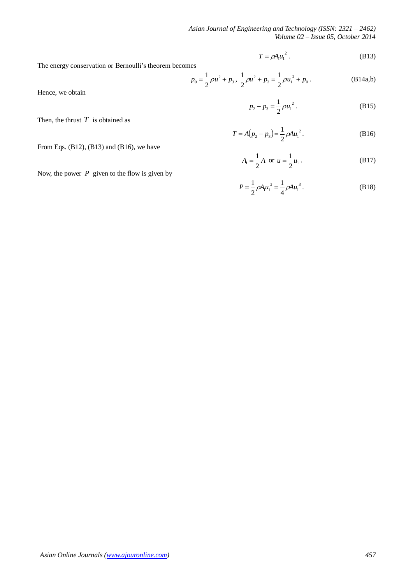*Asian Journal of Engineering and Technology (ISSN: 2321 – 2462) Volume 02 – Issue 05, October 2014*

$$
T = \rho A_1 u_1^2. \tag{B13}
$$

The energy conservation or Bernoulli's theorem becomes

$$
p_0 = \frac{1}{2}\rho u^2 + p_3, \ \frac{1}{2}\rho u^2 + p_2 = \frac{1}{2}\rho u_1^2 + p_0.
$$
 (B14a,b)

Hence, we obtain

$$
p_2 - p_3 = \frac{1}{2} \rho u_1^2. \tag{B15}
$$

 $T = A(p_2 - p_3) = \frac{1}{2} \rho A u_1^2$  $T = A(p_2 - p_3) = \frac{1}{2} \rho A u_1^2$ . (B16)

From Eqs. (B12), (B13) and (B16), we have

Then, the thrust  $T$  is obtained as

$$
A_1 = \frac{1}{2}A \text{ or } u = \frac{1}{2}u_1.
$$
 (B17)

$$
P = \frac{1}{2} \rho A_1 u_1^3 = \frac{1}{4} \rho A u_1^3.
$$
 (B18)

Now, the power  $P$  given to the flow is given by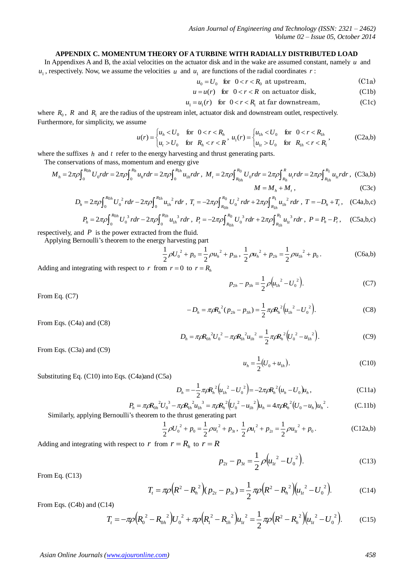## **APPENDIX C. MOMENTUM THEORY OF A TURBINE WITH RADIALLY DISTRIBUTED LOAD**

In Appendixes A and B, the axial velocities on the actuator disk and in the wake are assumed constant, namely  $u$  and  $u_1$ , respectively. Now, we assume the velocities u and  $u_1$  are functions of the radial coordinates r:

$$
u_0 = U_0 \quad \text{for} \quad 0 < r < R_0 \text{ at upstream},\tag{C1a}
$$

$$
u = u(r) \quad \text{for} \quad 0 < r < R \text{ on actuator disk}, \tag{C1b}
$$

$$
u_1 = u_1(r) \quad \text{for } 0 < r < R_1 \text{ at far downstream,} \tag{C1c}
$$

where  $R_0$ ,  $R$  and  $R_1$  are the radius of the upstream inlet, actuator disk and downstream outlet, respectively. Furthermore, for simplicity, we assume

$$
u(r) = \begin{cases} u_h < U_0 \quad \text{for} \quad 0 < r < R_h \\ u_t > U_0 \quad \text{for} \quad R_h < r < R \end{cases}, \ u_1(r) = \begin{cases} u_{1h} < U_0 \quad \text{for} \quad 0 < r < R_{1h} \\ u_{1h} > U_0 \quad \text{for} \quad R_{1h} < r < R_1 \end{cases}, \tag{C2a,b}
$$

where the suffixes  $h$  and  $t$  refer to the energy harvesting and thrust generating parts.

The conservations of mass, momentum and energy give

$$
M_{h} = 2\pi \rho \int_{0}^{R_{0h}} U_{0} r dr = 2\pi \rho \int_{0}^{R_{h}} u_{h} r dr = 2\pi \rho \int_{0}^{R_{1h}} u_{1h} r dr, \quad M_{t} = 2\pi \rho \int_{R_{0h}}^{R_{0}} U_{0} r dr = 2\pi \rho \int_{R_{h}}^{R} u_{t} r dr = 2\pi \rho \int_{R_{1h}}^{R_{1}} u_{1r} r dr, \quad (C3a,b)
$$
\n
$$
M = M_{h} + M_{t}, \quad (C3c)
$$

$$
D_h = 2\pi \rho \int_0^{R_{0h}} U_0^2 r dr - 2\pi \rho \int_0^{R_{1h}} u_{1h}^2 r dr \, , \, T_t = -2\pi \rho \int_{R_{0h}}^{R_0} U_0^2 r dr + 2\pi \rho \int_{R_{1h}}^{R_1} u_{1h}^2 r dr \, , \, T = -D_h + T_t \, , \, \, (C4a, b, c)
$$

$$
P_h = 2\pi \rho \int_0^{R_{0h}} U_0^3 r dr - 2\pi \rho \int_0^{R_{1h}} u_{1h}^3 r dr \ , \ P_t = -2\pi \rho \int_{R_{0h}}^{R_0} U_0^3 r dr + 2\pi \rho \int_{R_{1h}}^{R_1} u_{1h}^3 r dr \ , \ P = P_h - P_t \ , \quad \text{(C5a,b,c)}
$$

respectively, and  $P$  is the power extracted from the fluid.

Applying Bernoulli's theorem to the energy harvesting part

$$
\frac{1}{2}\rho {U_0}^2 + p_0 = \frac{1}{2}\rho {u_h}^2 + p_{3h}, \frac{1}{2}\rho {u_h}^2 + p_{2h} = \frac{1}{2}\rho {u_{1h}}^2 + p_0.
$$
 (C6a,b)

Adding and integrating with respect to r from  $r = 0$  to  $r = R_h$ 

$$
p_{2h} - p_{3h} = \frac{1}{2} \rho \Big( u_{1h}^2 - U_0^2 \Big). \tag{C7}
$$

From Eq. (C7)

$$
-D_h = \pi \rho R_h^2 (p_{2h} - p_{3h}) = \frac{1}{2} \pi \rho R_h^2 \left( u_{1h}^2 - U_0^2 \right).
$$
 (C8)

From Eqs. (C4a) and (C8)

$$
D_h = \pi \rho R_{0h}^2 U_0^2 - \pi \rho R_{1h}^2 u_{1h}^2 = \frac{1}{2} \pi \rho R_h^2 (U_0^2 - u_{1h}^2).
$$
 (C9)

From Eqs. (C3a) and (C9)

$$
u_h = \frac{1}{2} (U_0 + u_{1h}).
$$
 (C10)

Substituting Eq. (C10) into Eqs. (C4a)and (C5a)

$$
D_h = -\frac{1}{2} \pi \rho R_h^2 \left( u_{1h}^2 - U_0^2 \right) = -2 \pi \rho R_h^2 (u_h - U_0) u_h, \qquad (C11a)
$$

$$
P_h = \pi \rho R_{0h}^2 U_0^3 - \pi \rho R_{1h}^2 u_{1h}^3 = \pi \rho R_h^2 (U_0^2 - u_{1h}^2) u_h = 4\pi \rho R_h^2 (U_0 - u_h) u_h^2.
$$
 (C.11b)

Similarly, applying Bernoulli's theorem to the thrust generating part

$$
\frac{1}{2}\rho {U_0}^2 + p_0 = \frac{1}{2}\rho {u_t}^2 + p_{3t}, \ \frac{1}{2}\rho {u_t}^2 + p_{2t} = \frac{1}{2}\rho {u_{1t}}^2 + p_0.
$$
 (C12a,b)

Adding and integrating with respect to  $r$  from  $r = R_h$  to  $r = R$ 

$$
p_{2t} - p_{3t} = \frac{1}{2} \rho \Big( u_{1t}^{2} - U_{0}^{2} \Big). \tag{C13}
$$

From Eq. (C13)

$$
T_t = \pi \rho \left( R^2 - R_h^2 \right) (p_{2t} - p_{3t}) = \frac{1}{2} \pi \rho \left( R^2 - R_h^2 \right) \left( u_{1t}^2 - U_0^2 \right). \tag{C14}
$$

From Eqs. (C4b) and (C14)

$$
T_t = -\pi \rho \Big( R_0^2 - R_{0h}^2 \Big) U_0^2 + \pi \rho \Big( R_1^2 - R_{1h}^2 \Big) u_{1t}^2 = \frac{1}{2} \pi \rho \Big( R^2 - R_h^2 \Big) \Big( u_{1t}^2 - U_0^2 \Big). \tag{C15}
$$